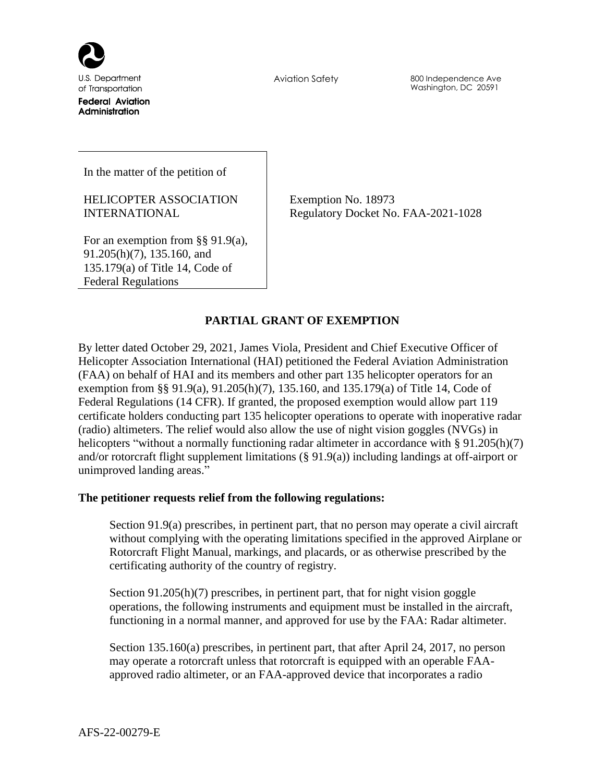

U.S. Department of Transportation **Federal Aviation** Administration

Aviation Safety 800 Independence Ave Washington, DC 20591

In the matter of the petition of

HELICOPTER ASSOCIATION INTERNATIONAL

Exemption No. 18973 Regulatory Docket No. FAA-2021-1028

For an exemption from §§ 91.9(a), 91.205(h)(7), 135.160, and 135.179(a) of Title 14, Code of Federal Regulations

# **PARTIAL GRANT OF EXEMPTION**

By letter dated October 29, 2021, James Viola, President and Chief Executive Officer of Helicopter Association International (HAI) petitioned the Federal Aviation Administration (FAA) on behalf of HAI and its members and other part 135 helicopter operators for an exemption from §§ 91.9(a), 91.205(h)(7), 135.160, and 135.179(a) of Title 14, Code of Federal Regulations (14 CFR). If granted, the proposed exemption would allow part 119 certificate holders conducting part 135 helicopter operations to operate with inoperative radar (radio) altimeters. The relief would also allow the use of night vision goggles (NVGs) in helicopters "without a normally functioning radar altimeter in accordance with § 91.205(h)(7) and/or rotorcraft flight supplement limitations (§ 91.9(a)) including landings at off-airport or unimproved landing areas."

## **The petitioner requests relief from the following regulations:**

Section 91.9(a) prescribes, in pertinent part, that no person may operate a civil aircraft without complying with the operating limitations specified in the approved Airplane or Rotorcraft Flight Manual, markings, and placards, or as otherwise prescribed by the certificating authority of the country of registry.

Section 91.205(h)(7) prescribes, in pertinent part, that for night vision goggle operations, the following instruments and equipment must be installed in the aircraft, functioning in a normal manner, and approved for use by the FAA: Radar altimeter.

Section 135.160(a) prescribes, in pertinent part, that after April 24, 2017, no person may operate a rotorcraft unless that rotorcraft is equipped with an operable FAAapproved radio altimeter, or an FAA-approved device that incorporates a radio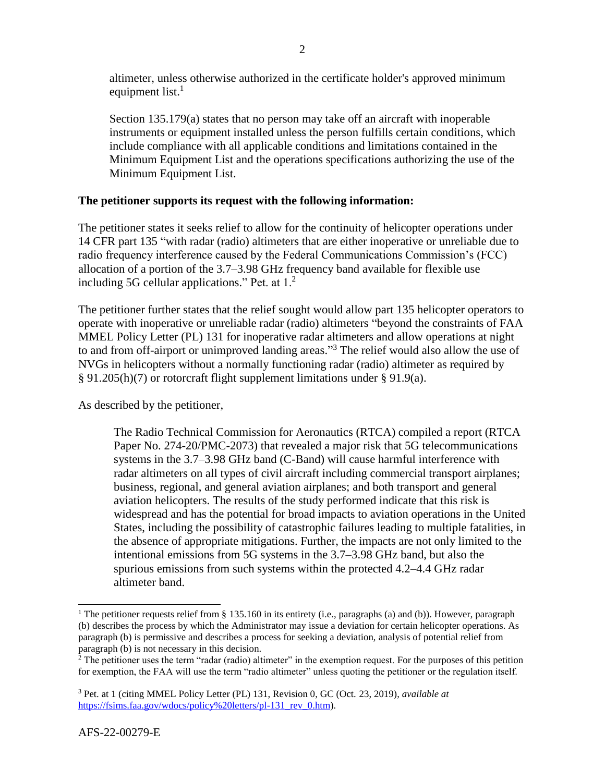altimeter, unless otherwise authorized in the certificate holder's approved minimum equipment list. $<sup>1</sup>$ </sup>

Section 135.179(a) states that no person may take off an aircraft with inoperable instruments or equipment installed unless the person fulfills certain conditions, which include compliance with all applicable conditions and limitations contained in the Minimum Equipment List and the operations specifications authorizing the use of the Minimum Equipment List.

# **The petitioner supports its request with the following information:**

The petitioner states it seeks relief to allow for the continuity of helicopter operations under 14 CFR part 135 "with radar (radio) altimeters that are either inoperative or unreliable due to radio frequency interference caused by the Federal Communications Commission's (FCC) allocation of a portion of the 3.7–3.98 GHz frequency band available for flexible use including 5G cellular applications." Pet. at  $1<sup>2</sup>$ 

The petitioner further states that the relief sought would allow part 135 helicopter operators to operate with inoperative or unreliable radar (radio) altimeters "beyond the constraints of FAA MMEL Policy Letter (PL) 131 for inoperative radar altimeters and allow operations at night to and from off-airport or unimproved landing areas." <sup>3</sup> The relief would also allow the use of NVGs in helicopters without a normally functioning radar (radio) altimeter as required by § 91.205(h)(7) or rotorcraft flight supplement limitations under § 91.9(a).

As described by the petitioner,

The Radio Technical Commission for Aeronautics (RTCA) compiled a report (RTCA Paper No. 274-20/PMC-2073) that revealed a major risk that 5G telecommunications systems in the 3.7–3.98 GHz band (C-Band) will cause harmful interference with radar altimeters on all types of civil aircraft including commercial transport airplanes; business, regional, and general aviation airplanes; and both transport and general aviation helicopters. The results of the study performed indicate that this risk is widespread and has the potential for broad impacts to aviation operations in the United States, including the possibility of catastrophic failures leading to multiple fatalities, in the absence of appropriate mitigations. Further, the impacts are not only limited to the intentional emissions from 5G systems in the 3.7–3.98 GHz band, but also the spurious emissions from such systems within the protected 4.2–4.4 GHz radar altimeter band.

 $\overline{\phantom{a}}$ 

<sup>1</sup> The petitioner requests relief from § 135.160 in its entirety (i.e., paragraphs (a) and (b)). However, paragraph (b) describes the process by which the Administrator may issue a deviation for certain helicopter operations. As paragraph (b) is permissive and describes a process for seeking a deviation, analysis of potential relief from paragraph (b) is not necessary in this decision.

<sup>&</sup>lt;sup>2</sup> The petitioner uses the term "radar (radio) altimeter" in the exemption request. For the purposes of this petition for exemption, the FAA will use the term "radio altimeter" unless quoting the petitioner or the regulation itself.

<sup>3</sup> Pet. at 1 (citing MMEL Policy Letter (PL) 131, Revision 0, GC (Oct. 23, 2019), *available at* [https://fsims.faa.gov/wdocs/policy%20letters/pl-131\\_rev\\_0.htm\)](https://fsims.faa.gov/wdocs/policy%20letters/pl-131_rev_0.htm).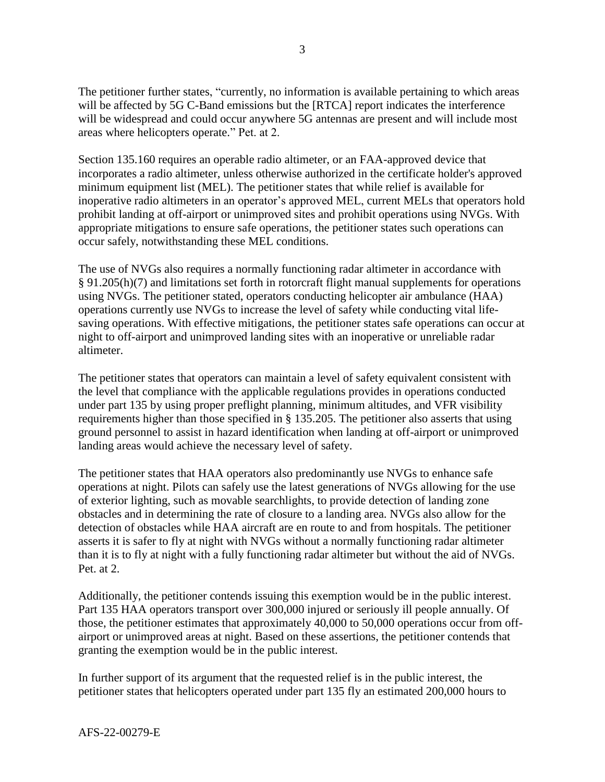The petitioner further states, "currently, no information is available pertaining to which areas will be affected by 5G C-Band emissions but the [RTCA] report indicates the interference will be widespread and could occur anywhere 5G antennas are present and will include most areas where helicopters operate." Pet. at 2.

Section 135.160 requires an operable radio altimeter, or an FAA-approved device that incorporates a radio altimeter, unless otherwise authorized in the certificate holder's approved minimum equipment list (MEL). The petitioner states that while relief is available for inoperative radio altimeters in an operator's approved MEL, current MELs that operators hold prohibit landing at off-airport or unimproved sites and prohibit operations using NVGs. With appropriate mitigations to ensure safe operations, the petitioner states such operations can occur safely, notwithstanding these MEL conditions.

The use of NVGs also requires a normally functioning radar altimeter in accordance with § 91.205(h)(7) and limitations set forth in rotorcraft flight manual supplements for operations using NVGs. The petitioner stated, operators conducting helicopter air ambulance (HAA) operations currently use NVGs to increase the level of safety while conducting vital lifesaving operations. With effective mitigations, the petitioner states safe operations can occur at night to off-airport and unimproved landing sites with an inoperative or unreliable radar altimeter.

The petitioner states that operators can maintain a level of safety equivalent consistent with the level that compliance with the applicable regulations provides in operations conducted under part 135 by using proper preflight planning, minimum altitudes, and VFR visibility requirements higher than those specified in § 135.205. The petitioner also asserts that using ground personnel to assist in hazard identification when landing at off-airport or unimproved landing areas would achieve the necessary level of safety.

The petitioner states that HAA operators also predominantly use NVGs to enhance safe operations at night. Pilots can safely use the latest generations of NVGs allowing for the use of exterior lighting, such as movable searchlights, to provide detection of landing zone obstacles and in determining the rate of closure to a landing area. NVGs also allow for the detection of obstacles while HAA aircraft are en route to and from hospitals. The petitioner asserts it is safer to fly at night with NVGs without a normally functioning radar altimeter than it is to fly at night with a fully functioning radar altimeter but without the aid of NVGs. Pet. at 2.

Additionally, the petitioner contends issuing this exemption would be in the public interest. Part 135 HAA operators transport over 300,000 injured or seriously ill people annually. Of those, the petitioner estimates that approximately 40,000 to 50,000 operations occur from offairport or unimproved areas at night. Based on these assertions, the petitioner contends that granting the exemption would be in the public interest.

In further support of its argument that the requested relief is in the public interest, the petitioner states that helicopters operated under part 135 fly an estimated 200,000 hours to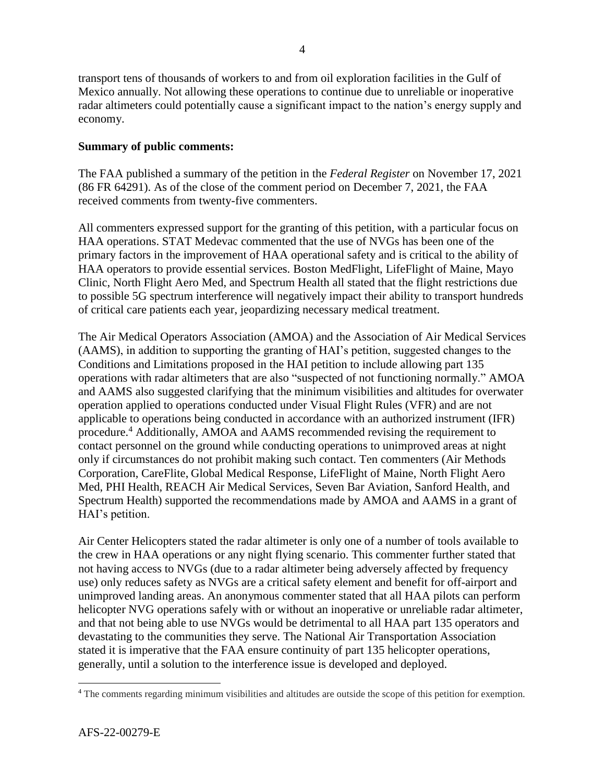transport tens of thousands of workers to and from oil exploration facilities in the Gulf of Mexico annually. Not allowing these operations to continue due to unreliable or inoperative radar altimeters could potentially cause a significant impact to the nation's energy supply and economy.

# **Summary of public comments:**

The FAA published a summary of the petition in the *Federal Register* on November 17, 2021 (86 FR 64291). As of the close of the comment period on December 7, 2021, the FAA received comments from twenty-five commenters.

All commenters expressed support for the granting of this petition, with a particular focus on HAA operations. STAT Medevac commented that the use of NVGs has been one of the primary factors in the improvement of HAA operational safety and is critical to the ability of HAA operators to provide essential services. Boston MedFlight, LifeFlight of Maine, Mayo Clinic, North Flight Aero Med, and Spectrum Health all stated that the flight restrictions due to possible 5G spectrum interference will negatively impact their ability to transport hundreds of critical care patients each year, jeopardizing necessary medical treatment.

The Air Medical Operators Association (AMOA) and the Association of Air Medical Services (AAMS), in addition to supporting the granting of HAI's petition, suggested changes to the Conditions and Limitations proposed in the HAI petition to include allowing part 135 operations with radar altimeters that are also "suspected of not functioning normally." AMOA and AAMS also suggested clarifying that the minimum visibilities and altitudes for overwater operation applied to operations conducted under Visual Flight Rules (VFR) and are not applicable to operations being conducted in accordance with an authorized instrument (IFR) procedure.<sup>4</sup> Additionally, AMOA and AAMS recommended revising the requirement to contact personnel on the ground while conducting operations to unimproved areas at night only if circumstances do not prohibit making such contact. Ten commenters (Air Methods Corporation, CareFlite, Global Medical Response, LifeFlight of Maine, North Flight Aero Med, PHI Health, REACH Air Medical Services, Seven Bar Aviation, Sanford Health, and Spectrum Health) supported the recommendations made by AMOA and AAMS in a grant of HAI's petition.

Air Center Helicopters stated the radar altimeter is only one of a number of tools available to the crew in HAA operations or any night flying scenario. This commenter further stated that not having access to NVGs (due to a radar altimeter being adversely affected by frequency use) only reduces safety as NVGs are a critical safety element and benefit for off-airport and unimproved landing areas. An anonymous commenter stated that all HAA pilots can perform helicopter NVG operations safely with or without an inoperative or unreliable radar altimeter, and that not being able to use NVGs would be detrimental to all HAA part 135 operators and devastating to the communities they serve. The National Air Transportation Association stated it is imperative that the FAA ensure continuity of part 135 helicopter operations, generally, until a solution to the interference issue is developed and deployed.

 $\overline{\phantom{a}}$ 

<sup>4</sup> The comments regarding minimum visibilities and altitudes are outside the scope of this petition for exemption.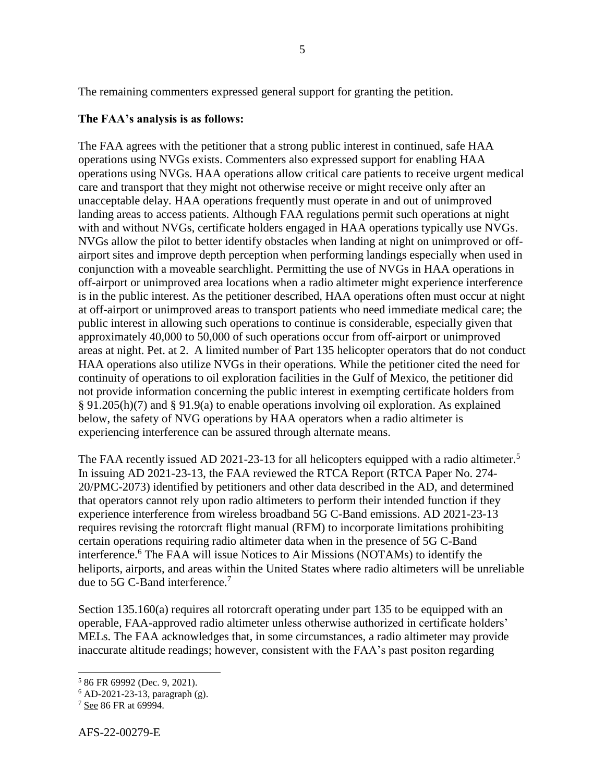The remaining commenters expressed general support for granting the petition.

### **The FAA's analysis is as follows:**

The FAA agrees with the petitioner that a strong public interest in continued, safe HAA operations using NVGs exists. Commenters also expressed support for enabling HAA operations using NVGs. HAA operations allow critical care patients to receive urgent medical care and transport that they might not otherwise receive or might receive only after an unacceptable delay. HAA operations frequently must operate in and out of unimproved landing areas to access patients. Although FAA regulations permit such operations at night with and without NVGs, certificate holders engaged in HAA operations typically use NVGs. NVGs allow the pilot to better identify obstacles when landing at night on unimproved or offairport sites and improve depth perception when performing landings especially when used in conjunction with a moveable searchlight. Permitting the use of NVGs in HAA operations in off-airport or unimproved area locations when a radio altimeter might experience interference is in the public interest. As the petitioner described, HAA operations often must occur at night at off-airport or unimproved areas to transport patients who need immediate medical care; the public interest in allowing such operations to continue is considerable, especially given that approximately 40,000 to 50,000 of such operations occur from off-airport or unimproved areas at night. Pet. at 2. A limited number of Part 135 helicopter operators that do not conduct HAA operations also utilize NVGs in their operations. While the petitioner cited the need for continuity of operations to oil exploration facilities in the Gulf of Mexico, the petitioner did not provide information concerning the public interest in exempting certificate holders from § 91.205(h)(7) and § 91.9(a) to enable operations involving oil exploration. As explained below, the safety of NVG operations by HAA operators when a radio altimeter is experiencing interference can be assured through alternate means.

The FAA recently issued AD 2021-23-13 for all helicopters equipped with a radio altimeter.<sup>5</sup> In issuing AD 2021-23-13, the FAA reviewed the RTCA Report (RTCA Paper No. 274- 20/PMC-2073) identified by petitioners and other data described in the AD, and determined that operators cannot rely upon radio altimeters to perform their intended function if they experience interference from wireless broadband 5G C-Band emissions. AD 2021-23-13 requires revising the rotorcraft flight manual (RFM) to incorporate limitations prohibiting certain operations requiring radio altimeter data when in the presence of 5G C-Band interference.<sup>6</sup> The FAA will issue Notices to Air Missions (NOTAMs) to identify the heliports, airports, and areas within the United States where radio altimeters will be unreliable due to 5G C-Band interference. 7

Section 135.160(a) requires all rotorcraft operating under part 135 to be equipped with an operable, FAA-approved radio altimeter unless otherwise authorized in certificate holders' MELs. The FAA acknowledges that, in some circumstances, a radio altimeter may provide inaccurate altitude readings; however, consistent with the FAA's past positon regarding

 $\overline{\phantom{a}}$ <sup>5</sup> 86 FR 69992 (Dec. 9, 2021).

<sup>6</sup> AD-2021-23-13, paragraph (g).

<sup>7</sup> See 86 FR at 69994.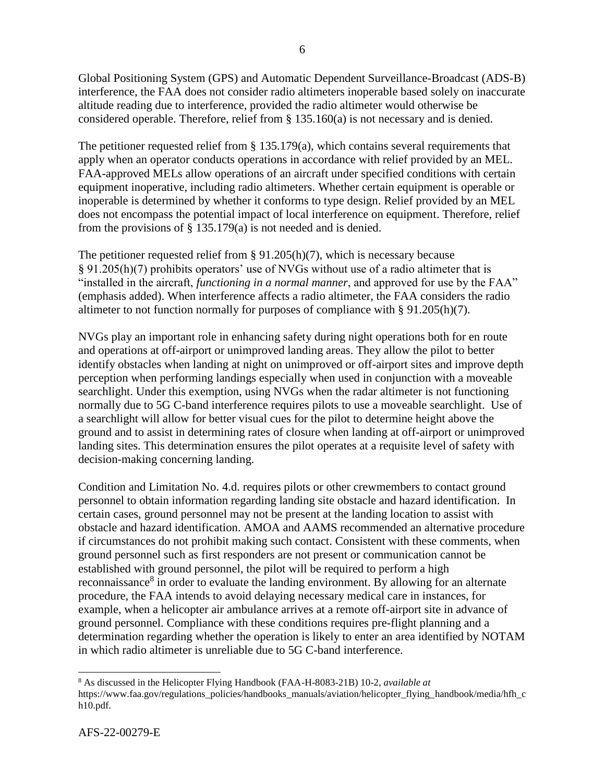Global Positioning System (GPS) and Automatic Dependent Surveillance-Broadcast (ADS-B) interference, the FAA does not consider radio altimeters inoperable based solely on inaccurate altitude reading due to interference, provided the radio altimeter would otherwise be considered operable. Therefore, relief from  $\S$  135.160(a) is not necessary and is denied.

The petitioner requested relief from § 135.179(a), which contains several requirements that apply when an operator conducts operations in accordance with relief provided by an MEL. FAA-approved MELs allow operations of an aircraft under specified conditions with certain equipment inoperative, including radio altimeters. Whether certain equipment is operable or inoperable is determined by whether it conforms to type design. Relief provided by an MEL does not encompass the potential impact of local interference on equipment. Therefore, relief from the provisions of § 135.179(a) is not needed and is denied.

The petitioner requested relief from  $\S 91.205(h)(7)$ , which is necessary because § 91.205(h)(7) prohibits operators' use of NVGs without use of a radio altimeter that is "installed in the aircraft, *functioning in a normal manner*, and approved for use by the FAA" (emphasis added). When interference affects a radio altimeter, the FAA considers the radio altimeter to not function normally for purposes of compliance with § 91.205(h)(7).

NVGs play an important role in enhancing safety during night operations both for en route and operations at off-airport or unimproved landing areas. They allow the pilot to better identify obstacles when landing at night on unimproved or off-airport sites and improve depth perception when performing landings especially when used in conjunction with a moveable searchlight. Under this exemption, using NVGs when the radar altimeter is not functioning normally due to 5G C-band interference requires pilots to use a moveable searchlight. Use of a searchlight will allow for better visual cues for the pilot to determine height above the ground and to assist in determining rates of closure when landing at off-airport or unimproved landing sites. This determination ensures the pilot operates at a requisite level of safety with decision-making concerning landing.

Condition and Limitation No. 4.d. requires pilots or other crewmembers to contact ground personnel to obtain information regarding landing site obstacle and hazard identification. In certain cases, ground personnel may not be present at the landing location to assist with obstacle and hazard identification. AMOA and AAMS recommended an alternative procedure if circumstances do not prohibit making such contact. Consistent with these comments, when ground personnel such as first responders are not present or communication cannot be established with ground personnel, the pilot will be required to perform a high reconnaissance<sup>8</sup> in order to evaluate the landing environment. By allowing for an alternate procedure, the FAA intends to avoid delaying necessary medical care in instances, for example, when a helicopter air ambulance arrives at a remote off-airport site in advance of ground personnel. Compliance with these conditions requires pre-flight planning and a determination regarding whether the operation is likely to enter an area identified by NOTAM in which radio altimeter is unreliable due to 5G C-band interference.

 $\overline{\phantom{a}}$ 

<sup>8</sup> As discussed in the Helicopter Flying Handbook (FAA-H-8083-21B) 10-2, *available at*  https://www.faa.gov/regulations\_policies/handbooks\_manuals/aviation/helicopter\_flying\_handbook/media/hfh\_c h10.pdf.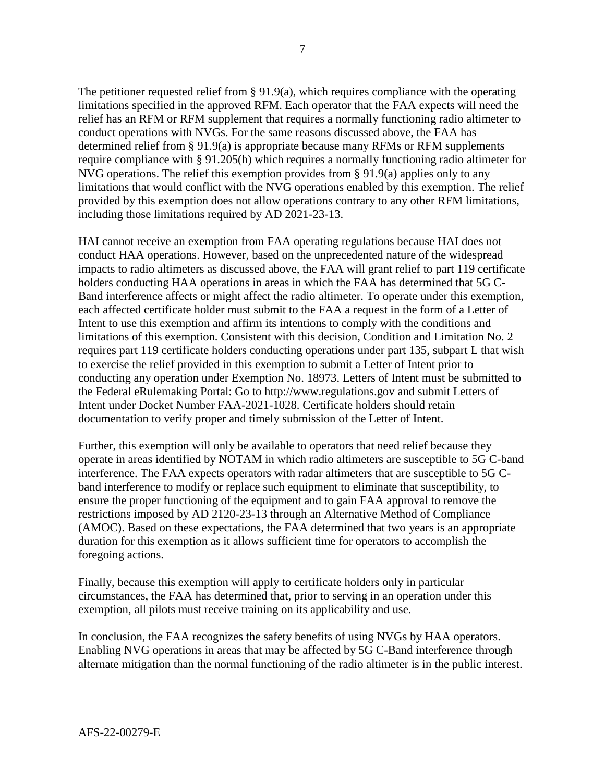The petitioner requested relief from § 91.9(a), which requires compliance with the operating limitations specified in the approved RFM. Each operator that the FAA expects will need the relief has an RFM or RFM supplement that requires a normally functioning radio altimeter to conduct operations with NVGs. For the same reasons discussed above, the FAA has determined relief from § 91.9(a) is appropriate because many RFMs or RFM supplements require compliance with § 91.205(h) which requires a normally functioning radio altimeter for NVG operations. The relief this exemption provides from § 91.9(a) applies only to any limitations that would conflict with the NVG operations enabled by this exemption. The relief provided by this exemption does not allow operations contrary to any other RFM limitations, including those limitations required by AD 2021-23-13.

HAI cannot receive an exemption from FAA operating regulations because HAI does not conduct HAA operations. However, based on the unprecedented nature of the widespread impacts to radio altimeters as discussed above, the FAA will grant relief to part 119 certificate holders conducting HAA operations in areas in which the FAA has determined that 5G C-Band interference affects or might affect the radio altimeter. To operate under this exemption, each affected certificate holder must submit to the FAA a request in the form of a Letter of Intent to use this exemption and affirm its intentions to comply with the conditions and limitations of this exemption. Consistent with this decision, Condition and Limitation No. 2 requires part 119 certificate holders conducting operations under part 135, subpart L that wish to exercise the relief provided in this exemption to submit a Letter of Intent prior to conducting any operation under Exemption No. 18973. Letters of Intent must be submitted to the Federal eRulemaking Portal: Go to http://www.regulations.gov and submit Letters of Intent under Docket Number FAA-2021-1028. Certificate holders should retain documentation to verify proper and timely submission of the Letter of Intent.

Further, this exemption will only be available to operators that need relief because they operate in areas identified by NOTAM in which radio altimeters are susceptible to 5G C-band interference. The FAA expects operators with radar altimeters that are susceptible to 5G Cband interference to modify or replace such equipment to eliminate that susceptibility, to ensure the proper functioning of the equipment and to gain FAA approval to remove the restrictions imposed by AD 2120-23-13 through an Alternative Method of Compliance (AMOC). Based on these expectations, the FAA determined that two years is an appropriate duration for this exemption as it allows sufficient time for operators to accomplish the foregoing actions.

Finally, because this exemption will apply to certificate holders only in particular circumstances, the FAA has determined that, prior to serving in an operation under this exemption, all pilots must receive training on its applicability and use.

In conclusion, the FAA recognizes the safety benefits of using NVGs by HAA operators. Enabling NVG operations in areas that may be affected by 5G C-Band interference through alternate mitigation than the normal functioning of the radio altimeter is in the public interest.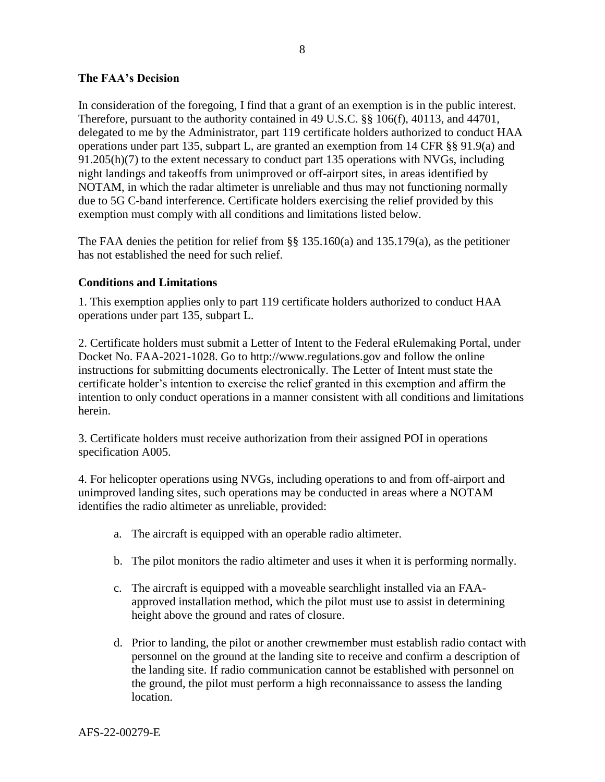## **The FAA's Decision**

In consideration of the foregoing, I find that a grant of an exemption is in the public interest. Therefore, pursuant to the authority contained in 49 U.S.C. §§ 106(f), 40113, and 44701, delegated to me by the Administrator, part 119 certificate holders authorized to conduct HAA operations under part 135, subpart L, are granted an exemption from 14 CFR §§ 91.9(a) and 91.205(h)(7) to the extent necessary to conduct part 135 operations with NVGs, including night landings and takeoffs from unimproved or off-airport sites, in areas identified by NOTAM, in which the radar altimeter is unreliable and thus may not functioning normally due to 5G C-band interference. Certificate holders exercising the relief provided by this exemption must comply with all conditions and limitations listed below.

The FAA denies the petition for relief from  $\S$ § 135.160(a) and 135.179(a), as the petitioner has not established the need for such relief.

## **Conditions and Limitations**

1. This exemption applies only to part 119 certificate holders authorized to conduct HAA operations under part 135, subpart L.

2. Certificate holders must submit a Letter of Intent to the Federal eRulemaking Portal, under Docket No. FAA-2021-1028. Go to http://www.regulations.gov and follow the online instructions for submitting documents electronically. The Letter of Intent must state the certificate holder's intention to exercise the relief granted in this exemption and affirm the intention to only conduct operations in a manner consistent with all conditions and limitations herein.

3. Certificate holders must receive authorization from their assigned POI in operations specification A005.

4. For helicopter operations using NVGs, including operations to and from off-airport and unimproved landing sites, such operations may be conducted in areas where a NOTAM identifies the radio altimeter as unreliable, provided:

- a. The aircraft is equipped with an operable radio altimeter.
- b. The pilot monitors the radio altimeter and uses it when it is performing normally.
- c. The aircraft is equipped with a moveable searchlight installed via an FAAapproved installation method, which the pilot must use to assist in determining height above the ground and rates of closure.
- d. Prior to landing, the pilot or another crewmember must establish radio contact with personnel on the ground at the landing site to receive and confirm a description of the landing site. If radio communication cannot be established with personnel on the ground, the pilot must perform a high reconnaissance to assess the landing location.